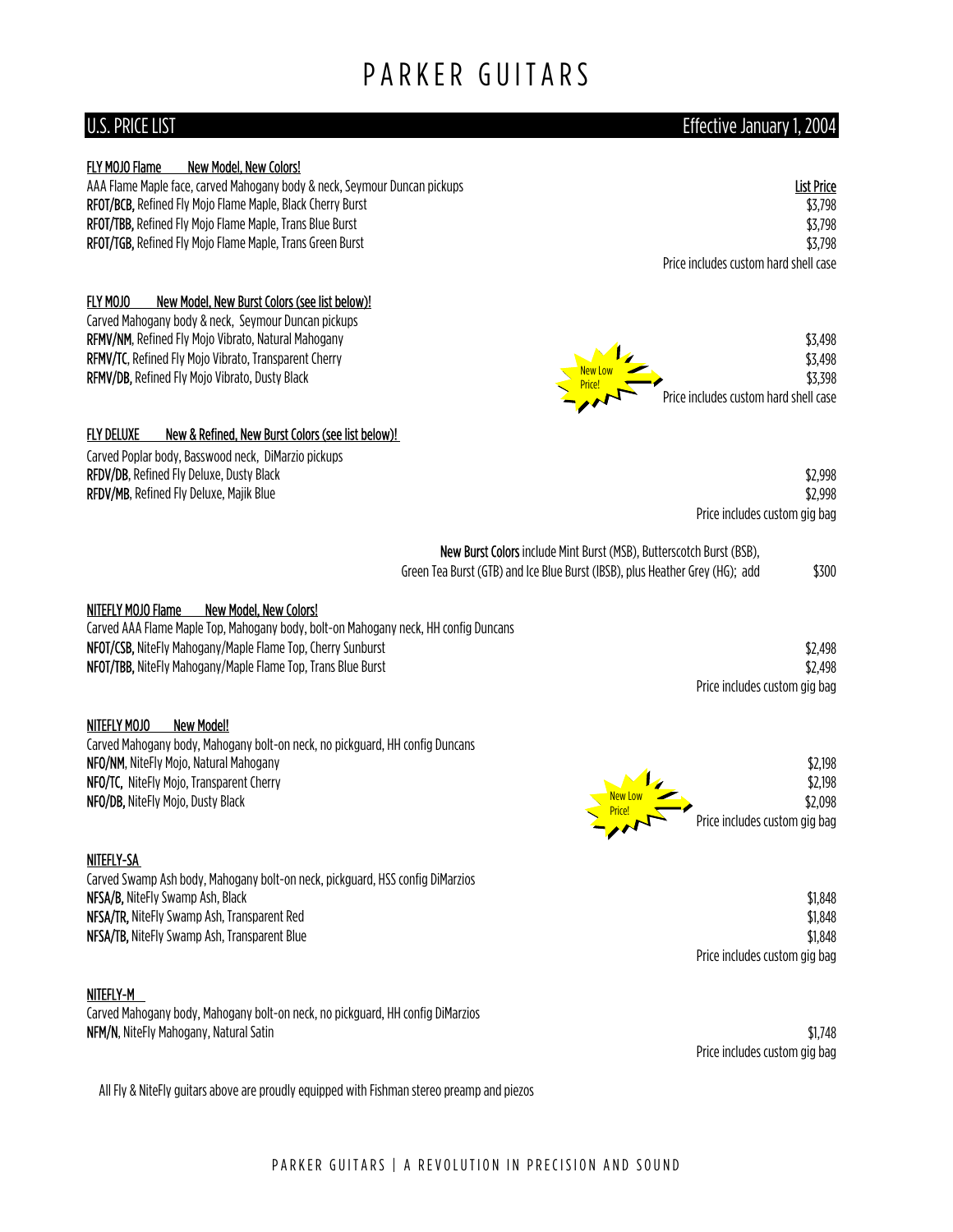# PARKER GUITARS

### U.S. PRICE LIST Effective January 1, 2004

| FLY MOJO Flame | <b>New Model, New Colors!</b> |  |
|----------------|-------------------------------|--|
|----------------|-------------------------------|--|

AAA Flame Maple face, carved Mahogany body & neck, Seymour Duncan pickups List Price List Price List Price List Price RFOT/BCB, Refined Fly Mojo Flame Maple, Black Cherry Burst \$3,798 RFOT/TBB, Refined Fly Mojo Flame Maple, Trans Blue Burst \$3,798 RFOT/TGB, Refined Fly Mojo Flame Maple, Trans Green Burst \$3,798

### FLY MOJO New Model, New Burst Colors (see list below)!

Carved Mahogany body & neck, Seymour Duncan pickups

#### FLY DELUXE New & Refined, New Burst Colors (see list below)!

Carved Poplar body, Basswood neck, DiMarzio pickups RFDV/DB, Refined Fly Deluxe, Dusty Black RFDV/MB, Refined Fly Deluxe, Majik Blue

Price includes custom hard shell case

| RFMV/NM, Refined Fly Mojo Vibrato, Natural Mahogany          |                          | \$3,498                               |
|--------------------------------------------------------------|--------------------------|---------------------------------------|
| <b>RFMV/TC, Refined Fly Mojo Vibrato, Transparent Cherry</b> |                          | \$3,498                               |
| <b>RFMV/DB, Refined Fly Mojo Vibrato, Dusty Black</b>        | New Low<br><b>Price!</b> | \$3,398                               |
|                                                              |                          | Price includes custom hard shell case |

|                            | \$2,998 |
|----------------------------|---------|
|                            | \$2,998 |
| e includes custom gig bag: |         |

| <b>New Burst Colors</b> include Mint Burst (MSB), Butterscotch Burst (BSB),   |       |
|-------------------------------------------------------------------------------|-------|
| Green Tea Burst (GTB) and Ice Blue Burst (IBSB), plus Heather Grey (HG);  add | \$300 |

#### NITEFLY MOJO Flame New Model, New Colors!

Carved AAA Flame Maple Top, Mahogany body, bolt-on Mahogany neck, HH config Duncans NFOT/CSB, NiteFly Mahogany/Maple Flame Top, Cherry Sunburst \$2,498 NFOT/TBB, NiteFly Mahogany/Maple Flame Top, Trans Blue Burst  $$2,498$ 

#### NITEFLY MOJO New Model!

Carved Mahogany body, Mahogany bolt-on neck, no pickguard, HH config Duncans NFO/NM, NiteFly Mojo, Natural Mahogany \$2,198 NFO/TC, NiteFly Mojo, Transparent Cherry \$2,198 NFO/DB, NiteFly Mojo, Dusty Black \$2,098

#### NITEFLY-SA

Carved Swamp Ash body, Mahogany bolt-on neck, pickguard, HSS config DiMarzios NFSA/B, NiteFly Swamp Ash, Black \$1,848 NFSA/TR, NiteFly Swamp Ash, Transparent Red  $$1,848$ NFSA/TB, NiteFly Swamp Ash, Transparent Blue  $$1,848$ 

#### NITEFLY-M

Carved Mahogany body, Mahogany bolt-on neck, no pickguard, HH config DiMarzios NFM/N, NiteFly Mahogany, Natural Satin  $$1,748$ 

Price includes custom gig bag

Price includes custom gig bag

All Fly & NiteFly guitars above are proudly equipped with Fishman stereo preamp and piezos



Pric

Price includes custom gig bag